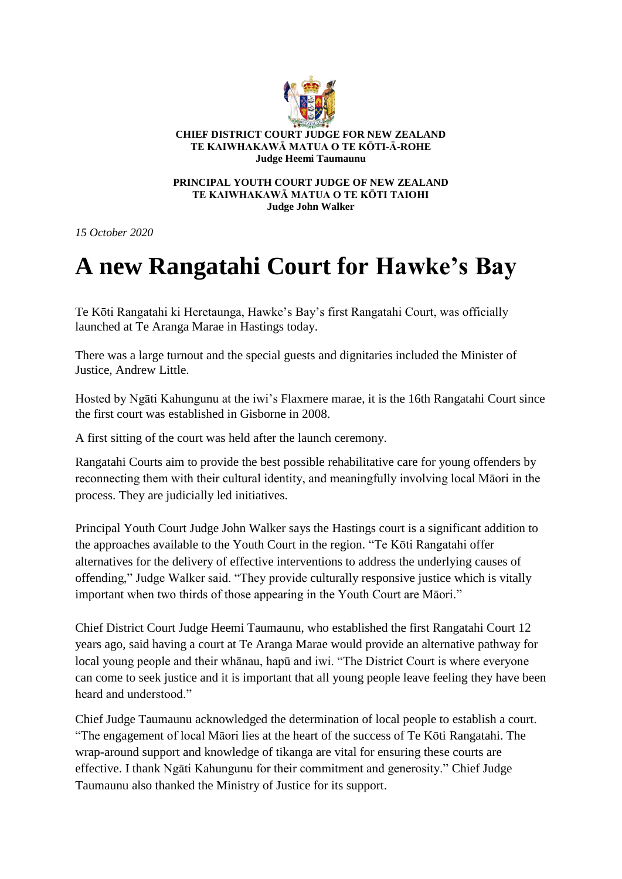

**CHIEF DISTRICT COURT JUDGE FOR NEW ZEALAND TE KAIWHAKAWĀ MATUA O TE KŌTI-Ā-ROHE Judge Heemi Taumaunu** 

**PRINCIPAL YOUTH COURT JUDGE OF NEW ZEALAND TE KAIWHAKAWĀ MATUA O TE KŌTI TAIOHI Judge John Walker**

*15 October 2020*

## **A new Rangatahi Court for Hawke's Bay**

Te Kōti Rangatahi ki Heretaunga, Hawke's Bay's first Rangatahi Court, was officially launched at Te Aranga Marae in Hastings today.

There was a large turnout and the special guests and dignitaries included the Minister of Justice, Andrew Little.

Hosted by Ngāti Kahungunu at the iwi's Flaxmere marae, it is the 16th Rangatahi Court since the first court was established in Gisborne in 2008.

A first sitting of the court was held after the launch ceremony.

Rangatahi Courts aim to provide the best possible rehabilitative care for young offenders by reconnecting them with their cultural identity, and meaningfully involving local Māori in the process. They are judicially led initiatives.

Principal Youth Court Judge John Walker says the Hastings court is a significant addition to the approaches available to the Youth Court in the region. "Te Kōti Rangatahi offer alternatives for the delivery of effective interventions to address the underlying causes of offending," Judge Walker said. "They provide culturally responsive justice which is vitally important when two thirds of those appearing in the Youth Court are Māori."

Chief District Court Judge Heemi Taumaunu, who established the first Rangatahi Court 12 years ago, said having a court at Te Aranga Marae would provide an alternative pathway for local young people and their whānau, hapū and iwi. "The District Court is where everyone can come to seek justice and it is important that all young people leave feeling they have been heard and understood."

Chief Judge Taumaunu acknowledged the determination of local people to establish a court. "The engagement of local Māori lies at the heart of the success of Te Kōti Rangatahi. The wrap-around support and knowledge of tikanga are vital for ensuring these courts are effective. I thank Ngāti Kahungunu for their commitment and generosity." Chief Judge Taumaunu also thanked the Ministry of Justice for its support.